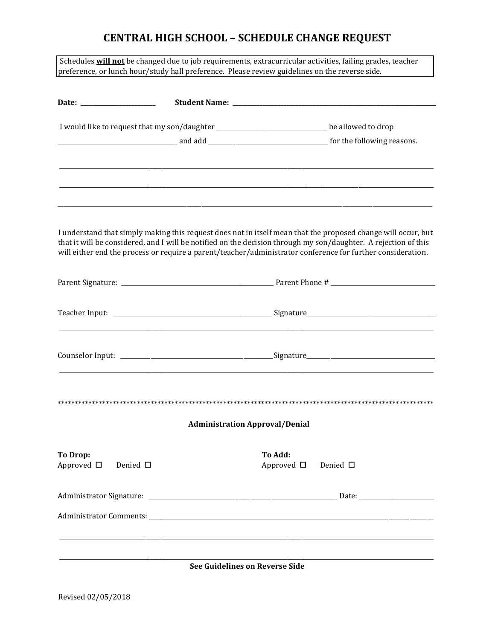## **CENTRAL HIGH SCHOOL – SCHEDULE CHANGE REQUEST**

Schedules **will not** be changed due to job requirements, extracurricular activities, failing grades, teacher preference, or lunch hour/study hall preference. Please review guidelines on the reverse side.

|                                                        | I would like to request that my son/daughter ________________________________be allowed to drop |                                                |                                                                                                                                                                                                                                                                                                                                                 |
|--------------------------------------------------------|-------------------------------------------------------------------------------------------------|------------------------------------------------|-------------------------------------------------------------------------------------------------------------------------------------------------------------------------------------------------------------------------------------------------------------------------------------------------------------------------------------------------|
|                                                        |                                                                                                 |                                                |                                                                                                                                                                                                                                                                                                                                                 |
|                                                        |                                                                                                 |                                                |                                                                                                                                                                                                                                                                                                                                                 |
|                                                        |                                                                                                 |                                                | I understand that simply making this request does not in itself mean that the proposed change will occur, but<br>that it will be considered, and I will be notified on the decision through my son/daughter. A rejection of this<br>will either end the process or require a parent/teacher/administrator conference for further consideration. |
|                                                        |                                                                                                 |                                                |                                                                                                                                                                                                                                                                                                                                                 |
|                                                        |                                                                                                 |                                                |                                                                                                                                                                                                                                                                                                                                                 |
|                                                        |                                                                                                 |                                                |                                                                                                                                                                                                                                                                                                                                                 |
|                                                        |                                                                                                 | <b>Administration Approval/Denial</b>          |                                                                                                                                                                                                                                                                                                                                                 |
|                                                        |                                                                                                 |                                                |                                                                                                                                                                                                                                                                                                                                                 |
| <b>To Drop:</b><br>Approved $\Box$<br>Denied $\square$ |                                                                                                 | To Add.<br>Approved $\square$ Denied $\square$ |                                                                                                                                                                                                                                                                                                                                                 |
|                                                        |                                                                                                 |                                                |                                                                                                                                                                                                                                                                                                                                                 |
|                                                        |                                                                                                 |                                                |                                                                                                                                                                                                                                                                                                                                                 |
|                                                        |                                                                                                 |                                                |                                                                                                                                                                                                                                                                                                                                                 |
|                                                        |                                                                                                 | See Guidelines on Reverse Side                 |                                                                                                                                                                                                                                                                                                                                                 |